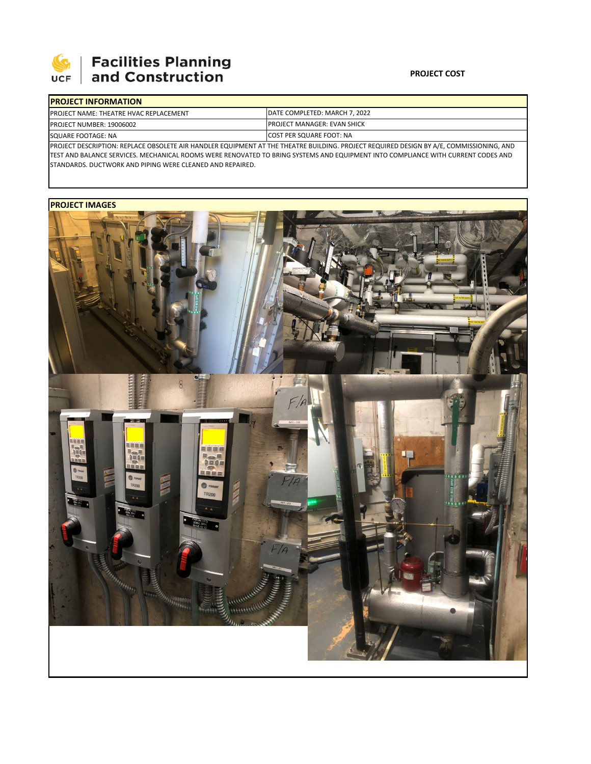

# **Facilities Planning**<br>and Construction

### **PROJECT COST**

| <b>IPROJECT INFORMATION</b>                                                                                                             |                                                                              |  |  |  |
|-----------------------------------------------------------------------------------------------------------------------------------------|------------------------------------------------------------------------------|--|--|--|
| <b>PROJECT NAME: THEATRE HVAC REPLACEMENT</b>                                                                                           | <b>IDATE COMPLETED: MARCH 7. 2022</b><br><b>IPROJECT MANAGER: EVAN SHICK</b> |  |  |  |
| <b>PROJECT NUMBER: 19006002</b>                                                                                                         |                                                                              |  |  |  |
| SQUARE FOOTAGE: NA                                                                                                                      | <b>ICOST PER SQUARE FOOT: NA</b>                                             |  |  |  |
| PROJECT DESCRIPTION: REPLACE OBSOLETE AIR HANDLER EQUIPMENT AT THE THEATRE BUILDING. PROJECT REQUIRED DESIGN BY A/E, COMMISSIONING, AND |                                                                              |  |  |  |

TEST AND BALANCE SERVICES. MECHANICAL ROOMS WERE RENOVATED TO BRING SYSTEMS AND EQUIPMENT INTO COMPLIANCE WITH CURRENT CODES AND STANDARDS. DUCTWORK AND PIPING WERE CLEANED AND REPAIRED.

## **PROJECT IMAGES**